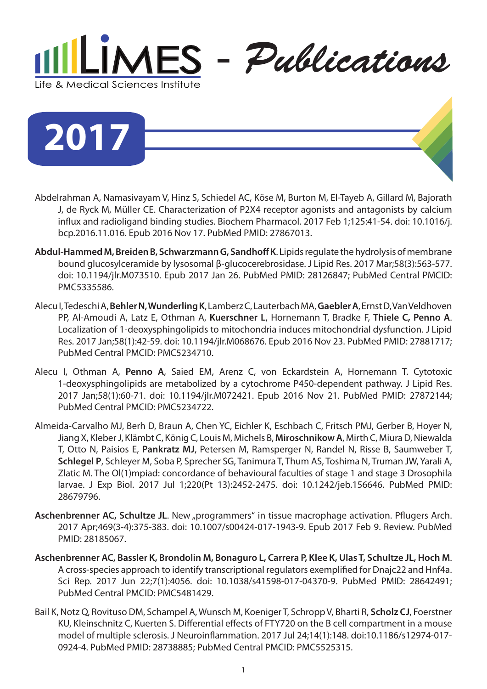

**2017**

- Abdelrahman A, Namasivayam V, Hinz S, Schiedel AC, Köse M, Burton M, El-Tayeb A, Gillard M, Bajorath J, de Ryck M, Müller CE. Characterization of P2X4 receptor agonists and antagonists by calcium influx and radioligand binding studies. Biochem Pharmacol. 2017 Feb 1;125:41-54. doi: 10.1016/j. bcp.2016.11.016. Epub 2016 Nov 17. PubMed PMID: 27867013.
- **Abdul-Hammed M, Breiden B, Schwarzmann G, Sandhoff K**. Lipids regulate the hydrolysis of membrane bound glucosylceramide by lysosomal β-glucocerebrosidase. J Lipid Res. 2017 Mar;58(3):563-577. doi: 10.1194/jlr.M073510. Epub 2017 Jan 26. PubMed PMID: 28126847; PubMed Central PMCID: PMC5335586.
- Alecu I, Tedeschi A, **Behler N, Wunderling K**, Lamberz C, Lauterbach MA, **Gaebler A**, Ernst D, Van Veldhoven PP, Al-Amoudi A, Latz E, Othman A, **Kuerschner L**, Hornemann T, Bradke F, **Thiele C, Penno A**. Localization of 1-deoxysphingolipids to mitochondria induces mitochondrial dysfunction. J Lipid Res. 2017 Jan;58(1):42-59. doi: 10.1194/jlr.M068676. Epub 2016 Nov 23. PubMed PMID: 27881717; PubMed Central PMCID: PMC5234710.
- Alecu I, Othman A, **Penno A**, Saied EM, Arenz C, von Eckardstein A, Hornemann T. Cytotoxic 1-deoxysphingolipids are metabolized by a cytochrome P450-dependent pathway. J Lipid Res. 2017 Jan;58(1):60-71. doi: 10.1194/jlr.M072421. Epub 2016 Nov 21. PubMed PMID: 27872144; PubMed Central PMCID: PMC5234722.
- Almeida-Carvalho MJ, Berh D, Braun A, Chen YC, Eichler K, Eschbach C, Fritsch PMJ, Gerber B, Hoyer N, Jiang X, Kleber J, Klämbt C, König C, Louis M, Michels B, **Miroschnikow A**, Mirth C, Miura D, Niewalda T, Otto N, Paisios E, **Pankratz MJ**, Petersen M, Ramsperger N, Randel N, Risse B, Saumweber T, **Schlegel P**, Schleyer M, Soba P, Sprecher SG, Tanimura T, Thum AS, Toshima N, Truman JW, Yarali A, Zlatic M. The Ol(1)mpiad: concordance of behavioural faculties of stage 1 and stage 3 Drosophila larvae. J Exp Biol. 2017 Jul 1;220(Pt 13):2452-2475. doi: 10.1242/jeb.156646. PubMed PMID: 28679796.
- Aschenbrenner AC, Schultze JL. New "programmers" in tissue macrophage activation. Pflugers Arch. 2017 Apr;469(3-4):375-383. doi: 10.1007/s00424-017-1943-9. Epub 2017 Feb 9. Review. PubMed PMID: 28185067.
- **Aschenbrenner AC, Bassler K, Brondolin M, Bonaguro L, Carrera P, Klee K, Ulas T, Schultze JL, Hoch M**. A cross-species approach to identify transcriptional regulators exemplified for Dnajc22 and Hnf4a. Sci Rep. 2017 Jun 22;7(1):4056. doi: 10.1038/s41598-017-04370-9. PubMed PMID: 28642491; PubMed Central PMCID: PMC5481429.
- Bail K, Notz Q, Rovituso DM, Schampel A, Wunsch M, Koeniger T, Schropp V, Bharti R, **Scholz CJ**, Foerstner KU, Kleinschnitz C, Kuerten S. Differential effects of FTY720 on the B cell compartment in a mouse model of multiple sclerosis. J Neuroinflammation. 2017 Jul 24;14(1):148. doi:10.1186/s12974-017- 0924-4. PubMed PMID: 28738885; PubMed Central PMCID: PMC5525315.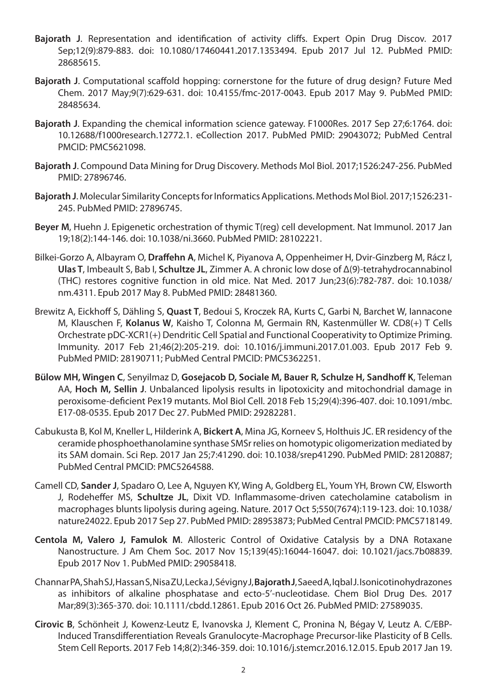- **Bajorath J**. Representation and identification of activity cliffs. Expert Opin Drug Discov. 2017 Sep;12(9):879-883. doi: 10.1080/17460441.2017.1353494. Epub 2017 Jul 12. PubMed PMID: 28685615.
- **Bajorath J**. Computational scaffold hopping: cornerstone for the future of drug design? Future Med Chem. 2017 May;9(7):629-631. doi: 10.4155/fmc-2017-0043. Epub 2017 May 9. PubMed PMID: 28485634.
- **Bajorath J**. Expanding the chemical information science gateway. F1000Res. 2017 Sep 27;6:1764. doi: 10.12688/f1000research.12772.1. eCollection 2017. PubMed PMID: 29043072; PubMed Central PMCID: PMC5621098.
- **Bajorath J**. Compound Data Mining for Drug Discovery. Methods Mol Biol. 2017;1526:247-256. PubMed PMID: 27896746.
- **Bajorath J**. Molecular Similarity Concepts for Informatics Applications. Methods Mol Biol. 2017;1526:231- 245. PubMed PMID: 27896745.
- **Beyer M**, Huehn J. Epigenetic orchestration of thymic T(reg) cell development. Nat Immunol. 2017 Jan 19;18(2):144-146. doi: 10.1038/ni.3660. PubMed PMID: 28102221.
- Bilkei-Gorzo A, Albayram O, **Draffehn A**, Michel K, Piyanova A, Oppenheimer H, Dvir-Ginzberg M, Rácz I, **Ulas T**, Imbeault S, Bab I, **Schultze JL**, Zimmer A. A chronic low dose of Δ(9)-tetrahydrocannabinol (THC) restores cognitive function in old mice. Nat Med. 2017 Jun;23(6):782-787. doi: 10.1038/ nm.4311. Epub 2017 May 8. PubMed PMID: 28481360.
- Brewitz A, Eickhoff S, Dähling S, **Quast T**, Bedoui S, Kroczek RA, Kurts C, Garbi N, Barchet W, Iannacone M, Klauschen F, **Kolanus W**, Kaisho T, Colonna M, Germain RN, Kastenmüller W. CD8(+) T Cells Orchestrate pDC-XCR1(+) Dendritic Cell Spatial and Functional Cooperativity to Optimize Priming. Immunity. 2017 Feb 21;46(2):205-219. doi: 10.1016/j.immuni.2017.01.003. Epub 2017 Feb 9. PubMed PMID: 28190711; PubMed Central PMCID: PMC5362251.
- **Bülow MH, Wingen C**, Senyilmaz D, **Gosejacob D, Sociale M, Bauer R, Schulze H, Sandhoff K**, Teleman AA, **Hoch M, Sellin J**. Unbalanced lipolysis results in lipotoxicity and mitochondrial damage in peroxisome-deficient Pex19 mutants. Mol Biol Cell. 2018 Feb 15;29(4):396-407. doi: 10.1091/mbc. E17-08-0535. Epub 2017 Dec 27. PubMed PMID: 29282281.
- Cabukusta B, Kol M, Kneller L, Hilderink A, **Bickert A**, Mina JG, Korneev S, Holthuis JC. ER residency of the ceramide phosphoethanolamine synthase SMSr relies on homotypic oligomerization mediated by its SAM domain. Sci Rep. 2017 Jan 25;7:41290. doi: 10.1038/srep41290. PubMed PMID: 28120887; PubMed Central PMCID: PMC5264588.
- Camell CD, **Sander J**, Spadaro O, Lee A, Nguyen KY, Wing A, Goldberg EL, Youm YH, Brown CW, Elsworth J, Rodeheffer MS, **Schultze JL**, Dixit VD. Inflammasome-driven catecholamine catabolism in macrophages blunts lipolysis during ageing. Nature. 2017 Oct 5;550(7674):119-123. doi: 10.1038/ nature24022. Epub 2017 Sep 27. PubMed PMID: 28953873; PubMed Central PMCID: PMC5718149.
- **Centola M, Valero J, Famulok M**. Allosteric Control of Oxidative Catalysis by a DNA Rotaxane Nanostructure. J Am Chem Soc. 2017 Nov 15;139(45):16044-16047. doi: 10.1021/jacs.7b08839. Epub 2017 Nov 1. PubMed PMID: 29058418.
- Channar PA, Shah SJ, Hassan S, Nisa ZU, Lecka J, Sévigny J, **Bajorath J**, Saeed A, Iqbal J. Isonicotinohydrazones as inhibitors of alkaline phosphatase and ecto-5'-nucleotidase. Chem Biol Drug Des. 2017 Mar;89(3):365-370. doi: 10.1111/cbdd.12861. Epub 2016 Oct 26. PubMed PMID: 27589035.
- **Cirovic B**, Schönheit J, Kowenz-Leutz E, Ivanovska J, Klement C, Pronina N, Bégay V, Leutz A. C/EBP-Induced Transdifferentiation Reveals Granulocyte-Macrophage Precursor-like Plasticity of B Cells. Stem Cell Reports. 2017 Feb 14;8(2):346-359. doi: 10.1016/j.stemcr.2016.12.015. Epub 2017 Jan 19.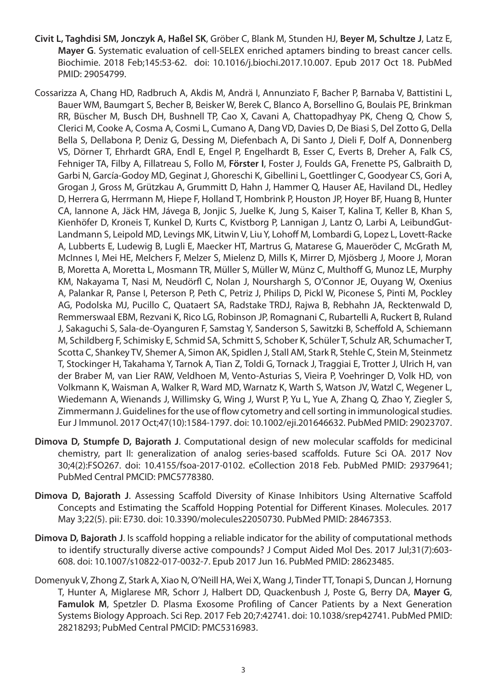- **Civit L, Taghdisi SM, Jonczyk A, Haßel SK**, Gröber C, Blank M, Stunden HJ, **Beyer M, Schultze J**, Latz E, **Mayer G**. Systematic evaluation of cell-SELEX enriched aptamers binding to breast cancer cells. Biochimie. 2018 Feb;145:53-62. doi: 10.1016/j.biochi.2017.10.007. Epub 2017 Oct 18. PubMed PMID: 29054799.
- Cossarizza A, Chang HD, Radbruch A, Akdis M, Andrä I, Annunziato F, Bacher P, Barnaba V, Battistini L, Bauer WM, Baumgart S, Becher B, Beisker W, Berek C, Blanco A, Borsellino G, Boulais PE, Brinkman RR, Büscher M, Busch DH, Bushnell TP, Cao X, Cavani A, Chattopadhyay PK, Cheng Q, Chow S, Clerici M, Cooke A, Cosma A, Cosmi L, Cumano A, Dang VD, Davies D, De Biasi S, Del Zotto G, Della Bella S, Dellabona P, Deniz G, Dessing M, Diefenbach A, Di Santo J, Dieli F, Dolf A, Donnenberg VS, Dörner T, Ehrhardt GRA, Endl E, Engel P, Engelhardt B, Esser C, Everts B, Dreher A, Falk CS, Fehniger TA, Filby A, Fillatreau S, Follo M, **Förster I**, Foster J, Foulds GA, Frenette PS, Galbraith D, Garbi N, García-Godoy MD, Geginat J, Ghoreschi K, Gibellini L, Goettlinger C, Goodyear CS, Gori A, Grogan J, Gross M, Grützkau A, Grummitt D, Hahn J, Hammer Q, Hauser AE, Haviland DL, Hedley D, Herrera G, Herrmann M, Hiepe F, Holland T, Hombrink P, Houston JP, Hoyer BF, Huang B, Hunter CA, Iannone A, Jäck HM, Jávega B, Jonjic S, Juelke K, Jung S, Kaiser T, Kalina T, Keller B, Khan S, Kienhöfer D, Kroneis T, Kunkel D, Kurts C, Kvistborg P, Lannigan J, Lantz O, Larbi A, LeibundGut-Landmann S, Leipold MD, Levings MK, Litwin V, Liu Y, Lohoff M, Lombardi G, Lopez L, Lovett-Racke A, Lubberts E, Ludewig B, Lugli E, Maecker HT, Martrus G, Matarese G, Maueröder C, McGrath M, McInnes I, Mei HE, Melchers F, Melzer S, Mielenz D, Mills K, Mirrer D, Mjösberg J, Moore J, Moran B, Moretta A, Moretta L, Mosmann TR, Müller S, Müller W, Münz C, Multhoff G, Munoz LE, Murphy KM, Nakayama T, Nasi M, Neudörfl C, Nolan J, Nourshargh S, O'Connor JE, Ouyang W, Oxenius A, Palankar R, Panse I, Peterson P, Peth C, Petriz J, Philips D, Pickl W, Piconese S, Pinti M, Pockley AG, Podolska MJ, Pucillo C, Quataert SA, Radstake TRDJ, Rajwa B, Rebhahn JA, Recktenwald D, Remmerswaal EBM, Rezvani K, Rico LG, Robinson JP, Romagnani C, Rubartelli A, Ruckert B, Ruland J, Sakaguchi S, Sala-de-Oyanguren F, Samstag Y, Sanderson S, Sawitzki B, Scheffold A, Schiemann M, Schildberg F, Schimisky E, Schmid SA, Schmitt S, Schober K, Schüler T, Schulz AR, Schumacher T, Scotta C, Shankey TV, Shemer A, Simon AK, Spidlen J, Stall AM, Stark R, Stehle C, Stein M, Steinmetz T, Stockinger H, Takahama Y, Tarnok A, Tian Z, Toldi G, Tornack J, Traggiai E, Trotter J, Ulrich H, van der Braber M, van Lier RAW, Veldhoen M, Vento-Asturias S, Vieira P, Voehringer D, Volk HD, von Volkmann K, Waisman A, Walker R, Ward MD, Warnatz K, Warth S, Watson JV, Watzl C, Wegener L, Wiedemann A, Wienands J, Willimsky G, Wing J, Wurst P, Yu L, Yue A, Zhang Q, Zhao Y, Ziegler S, Zimmermann J. Guidelines for the use of flow cytometry and cell sorting in immunological studies. Eur J Immunol. 2017 Oct;47(10):1584-1797. doi: 10.1002/eji.201646632. PubMed PMID: 29023707.
- **Dimova D, Stumpfe D, Bajorath J**. Computational design of new molecular scaffolds for medicinal chemistry, part II: generalization of analog series-based scaffolds. Future Sci OA. 2017 Nov 30;4(2):FSO267. doi: 10.4155/fsoa-2017-0102. eCollection 2018 Feb. PubMed PMID: 29379641; PubMed Central PMCID: PMC5778380.
- **Dimova D, Bajorath J**. Assessing Scaffold Diversity of Kinase Inhibitors Using Alternative Scaffold Concepts and Estimating the Scaffold Hopping Potential for Different Kinases. Molecules. 2017 May 3;22(5). pii: E730. doi: 10.3390/molecules22050730. PubMed PMID: 28467353.
- **Dimova D, Bajorath J**. Is scaffold hopping a reliable indicator for the ability of computational methods to identify structurally diverse active compounds? J Comput Aided Mol Des. 2017 Jul;31(7):603- 608. doi: 10.1007/s10822-017-0032-7. Epub 2017 Jun 16. PubMed PMID: 28623485.
- Domenyuk V, Zhong Z, Stark A, Xiao N, O'Neill HA, Wei X, Wang J, Tinder TT, Tonapi S, Duncan J, Hornung T, Hunter A, Miglarese MR, Schorr J, Halbert DD, Quackenbush J, Poste G, Berry DA, **Mayer G**, **Famulok M**, Spetzler D. Plasma Exosome Profiling of Cancer Patients by a Next Generation Systems Biology Approach. Sci Rep. 2017 Feb 20;7:42741. doi: 10.1038/srep42741. PubMed PMID: 28218293; PubMed Central PMCID: PMC5316983.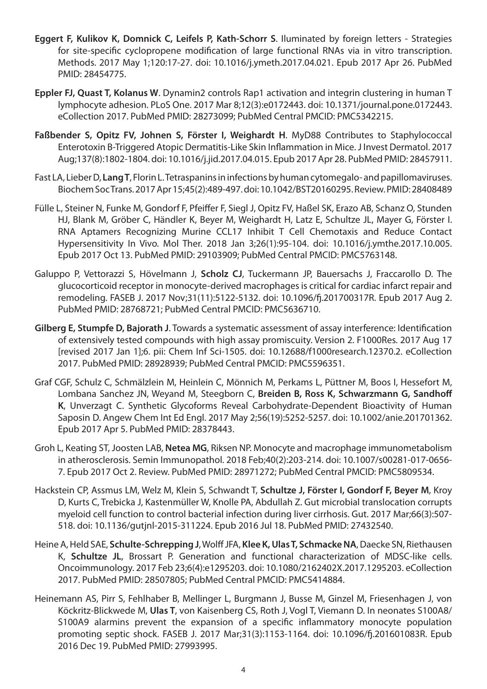- **Eggert F, Kulikov K, Domnick C, Leifels P, Kath-Schorr S**. Iluminated by foreign letters Strategies for site-specific cyclopropene modification of large functional RNAs via in vitro transcription. Methods. 2017 May 1;120:17-27. doi: 10.1016/j.ymeth.2017.04.021. Epub 2017 Apr 26. PubMed PMID: 28454775.
- **Eppler FJ, Quast T, Kolanus W**. Dynamin2 controls Rap1 activation and integrin clustering in human T lymphocyte adhesion. PLoS One. 2017 Mar 8;12(3):e0172443. doi: 10.1371/journal.pone.0172443. eCollection 2017. PubMed PMID: 28273099; PubMed Central PMCID: PMC5342215.
- **Faßbender S, Opitz FV, Johnen S, Förster I, Weighardt H**. MyD88 Contributes to Staphylococcal Enterotoxin B-Triggered Atopic Dermatitis-Like Skin Inflammation in Mice. J Invest Dermatol. 2017 Aug;137(8):1802-1804. doi: 10.1016/j.jid.2017.04.015. Epub 2017 Apr 28. PubMed PMID: 28457911.
- Fast LA, Lieber D, **Lang T**, Florin L. Tetraspanins in infections by human cytomegalo- and papillomaviruses. Biochem Soc Trans. 2017 Apr 15;45(2):489-497. doi: 10.1042/BST20160295. Review. PMID: 28408489
- Fülle L, Steiner N, Funke M, Gondorf F, Pfeiffer F, Siegl J, Opitz FV, Haßel SK, Erazo AB, Schanz O, Stunden HJ, Blank M, Gröber C, Händler K, Beyer M, Weighardt H, Latz E, Schultze JL, Mayer G, Förster I. RNA Aptamers Recognizing Murine CCL17 Inhibit T Cell Chemotaxis and Reduce Contact Hypersensitivity In Vivo. Mol Ther. 2018 Jan 3;26(1):95-104. doi: 10.1016/j.ymthe.2017.10.005. Epub 2017 Oct 13. PubMed PMID: 29103909; PubMed Central PMCID: PMC5763148.
- Galuppo P, Vettorazzi S, Hövelmann J, **Scholz CJ**, Tuckermann JP, Bauersachs J, Fraccarollo D. The glucocorticoid receptor in monocyte-derived macrophages is critical for cardiac infarct repair and remodeling. FASEB J. 2017 Nov;31(11):5122-5132. doi: 10.1096/fj.201700317R. Epub 2017 Aug 2. PubMed PMID: 28768721; PubMed Central PMCID: PMC5636710.
- **Gilberg E, Stumpfe D, Bajorath J**. Towards a systematic assessment of assay interference: Identification of extensively tested compounds with high assay promiscuity. Version 2. F1000Res. 2017 Aug 17 [revised 2017 Jan 1];6. pii: Chem Inf Sci-1505. doi: 10.12688/f1000research.12370.2. eCollection 2017. PubMed PMID: 28928939; PubMed Central PMCID: PMC5596351.
- Graf CGF, Schulz C, Schmälzlein M, Heinlein C, Mönnich M, Perkams L, Püttner M, Boos I, Hessefort M, Lombana Sanchez JN, Weyand M, Steegborn C, **Breiden B, Ross K, Schwarzmann G, Sandhoff K**, Unverzagt C. Synthetic Glycoforms Reveal Carbohydrate-Dependent Bioactivity of Human Saposin D. Angew Chem Int Ed Engl. 2017 May 2;56(19):5252-5257. doi: 10.1002/anie.201701362. Epub 2017 Apr 5. PubMed PMID: 28378443.
- Groh L, Keating ST, Joosten LAB, **Netea MG**, Riksen NP. Monocyte and macrophage immunometabolism in atherosclerosis. Semin Immunopathol. 2018 Feb;40(2):203-214. doi: 10.1007/s00281-017-0656- 7. Epub 2017 Oct 2. Review. PubMed PMID: 28971272; PubMed Central PMCID: PMC5809534.
- Hackstein CP, Assmus LM, Welz M, Klein S, Schwandt T, **Schultze J, Förster I, Gondorf F, Beyer M**, Kroy D, Kurts C, Trebicka J, Kastenmüller W, Knolle PA, Abdullah Z. Gut microbial translocation corrupts myeloid cell function to control bacterial infection during liver cirrhosis. Gut. 2017 Mar;66(3):507- 518. doi: 10.1136/gutjnl-2015-311224. Epub 2016 Jul 18. PubMed PMID: 27432540.
- Heine A, Held SAE, **Schulte-Schrepping J**, Wolff JFA, **Klee K, Ulas T, Schmacke NA**, Daecke SN, Riethausen K, **Schultze JL**, Brossart P. Generation and functional characterization of MDSC-like cells. Oncoimmunology. 2017 Feb 23;6(4):e1295203. doi: 10.1080/2162402X.2017.1295203. eCollection 2017. PubMed PMID: 28507805; PubMed Central PMCID: PMC5414884.
- Heinemann AS, Pirr S, Fehlhaber B, Mellinger L, Burgmann J, Busse M, Ginzel M, Friesenhagen J, von Köckritz-Blickwede M, **Ulas T**, von Kaisenberg CS, Roth J, Vogl T, Viemann D. In neonates S100A8/ S100A9 alarmins prevent the expansion of a specific inflammatory monocyte population promoting septic shock. FASEB J. 2017 Mar;31(3):1153-1164. doi: 10.1096/fj.201601083R. Epub 2016 Dec 19. PubMed PMID: 27993995.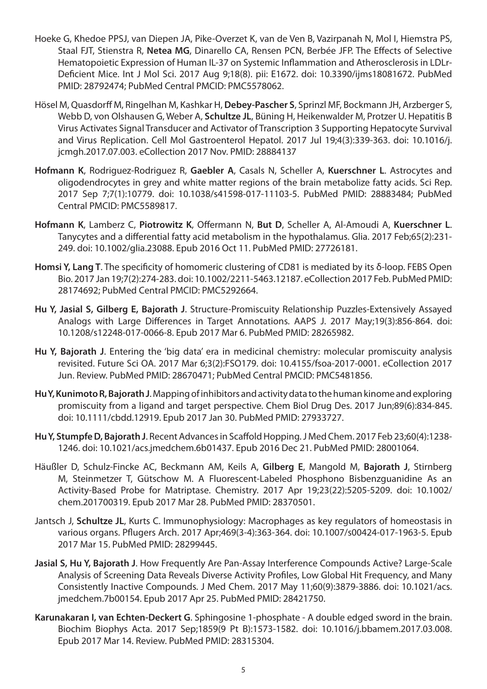- Hoeke G, Khedoe PPSJ, van Diepen JA, Pike-Overzet K, van de Ven B, Vazirpanah N, Mol I, Hiemstra PS, Staal FJT, Stienstra R, **Netea MG**, Dinarello CA, Rensen PCN, Berbée JFP. The Effects of Selective Hematopoietic Expression of Human IL-37 on Systemic Inflammation and Atherosclerosis in LDLr-Deficient Mice. Int J Mol Sci. 2017 Aug 9;18(8). pii: E1672. doi: 10.3390/ijms18081672. PubMed PMID: 28792474; PubMed Central PMCID: PMC5578062.
- Hösel M, Quasdorff M, Ringelhan M, Kashkar H, **Debey-Pascher S**, Sprinzl MF, Bockmann JH, Arzberger S, Webb D, von Olshausen G, Weber A, **Schultze JL**, Büning H, Heikenwalder M, Protzer U. Hepatitis B Virus Activates Signal Transducer and Activator of Transcription 3 Supporting Hepatocyte Survival and Virus Replication. Cell Mol Gastroenterol Hepatol. 2017 Jul 19;4(3):339-363. doi: 10.1016/j. jcmgh.2017.07.003. eCollection 2017 Nov. PMID: 28884137
- **Hofmann K**, Rodriguez-Rodriguez R, **Gaebler A**, Casals N, Scheller A, **Kuerschner L**. Astrocytes and oligodendrocytes in grey and white matter regions of the brain metabolize fatty acids. Sci Rep. 2017 Sep 7;7(1):10779. doi: 10.1038/s41598-017-11103-5. PubMed PMID: 28883484; PubMed Central PMCID: PMC5589817.
- **Hofmann K**, Lamberz C, **Piotrowitz K**, Offermann N, **But D**, Scheller A, Al-Amoudi A, **Kuerschner L**. Tanycytes and a differential fatty acid metabolism in the hypothalamus. Glia. 2017 Feb;65(2):231- 249. doi: 10.1002/glia.23088. Epub 2016 Oct 11. PubMed PMID: 27726181.
- **Homsi Y, Lang T**. The specificity of homomeric clustering of CD81 is mediated by its δ-loop. FEBS Open Bio. 2017 Jan 19;7(2):274-283. doi: 10.1002/2211-5463.12187. eCollection 2017 Feb. PubMed PMID: 28174692; PubMed Central PMCID: PMC5292664.
- **Hu Y, Jasial S, Gilberg E, Bajorath J**. Structure-Promiscuity Relationship Puzzles-Extensively Assayed Analogs with Large Differences in Target Annotations. AAPS J. 2017 May;19(3):856-864. doi: 10.1208/s12248-017-0066-8. Epub 2017 Mar 6. PubMed PMID: 28265982.
- **Hu Y, Bajorath J**. Entering the 'big data' era in medicinal chemistry: molecular promiscuity analysis revisited. Future Sci OA. 2017 Mar 6;3(2):FSO179. doi: 10.4155/fsoa-2017-0001. eCollection 2017 Jun. Review. PubMed PMID: 28670471; PubMed Central PMCID: PMC5481856.
- **Hu Y, Kunimoto R, Bajorath J**. Mapping of inhibitors and activity data to the human kinome and exploring promiscuity from a ligand and target perspective. Chem Biol Drug Des. 2017 Jun;89(6):834-845. doi: 10.1111/cbdd.12919. Epub 2017 Jan 30. PubMed PMID: 27933727.
- **Hu Y, Stumpfe D, Bajorath J**. Recent Advances in Scaffold Hopping. J Med Chem. 2017 Feb 23;60(4):1238- 1246. doi: 10.1021/acs.jmedchem.6b01437. Epub 2016 Dec 21. PubMed PMID: 28001064.
- Häußler D, Schulz-Fincke AC, Beckmann AM, Keils A, **Gilberg E**, Mangold M, **Bajorath J**, Stirnberg M, Steinmetzer T, Gütschow M. A Fluorescent-Labeled Phosphono Bisbenzguanidine As an Activity-Based Probe for Matriptase. Chemistry. 2017 Apr 19;23(22):5205-5209. doi: 10.1002/ chem.201700319. Epub 2017 Mar 28. PubMed PMID: 28370501.
- Jantsch J, **Schultze JL**, Kurts C. Immunophysiology: Macrophages as key regulators of homeostasis in various organs. Pflugers Arch. 2017 Apr;469(3-4):363-364. doi: 10.1007/s00424-017-1963-5. Epub 2017 Mar 15. PubMed PMID: 28299445.
- **Jasial S, Hu Y, Bajorath J**. How Frequently Are Pan-Assay Interference Compounds Active? Large-Scale Analysis of Screening Data Reveals Diverse Activity Profiles, Low Global Hit Frequency, and Many Consistently Inactive Compounds. J Med Chem. 2017 May 11;60(9):3879-3886. doi: 10.1021/acs. jmedchem.7b00154. Epub 2017 Apr 25. PubMed PMID: 28421750.
- **Karunakaran I, van Echten-Deckert G**. Sphingosine 1-phosphate A double edged sword in the brain. Biochim Biophys Acta. 2017 Sep;1859(9 Pt B):1573-1582. doi: 10.1016/j.bbamem.2017.03.008. Epub 2017 Mar 14. Review. PubMed PMID: 28315304.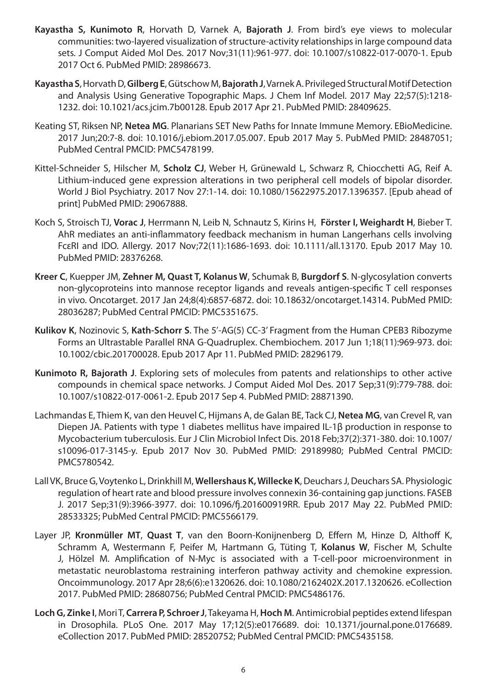- **Kayastha S, Kunimoto R**, Horvath D, Varnek A, **Bajorath J**. From bird's eye views to molecular communities: two-layered visualization of structure-activity relationships in large compound data sets. J Comput Aided Mol Des. 2017 Nov;31(11):961-977. doi: 10.1007/s10822-017-0070-1. Epub 2017 Oct 6. PubMed PMID: 28986673.
- **Kayastha S**, Horvath D, **Gilberg E**, Gütschow M, **Bajorath J**, Varnek A. Privileged Structural Motif Detection and Analysis Using Generative Topographic Maps. J Chem Inf Model. 2017 May 22;57(5):1218- 1232. doi: 10.1021/acs.jcim.7b00128. Epub 2017 Apr 21. PubMed PMID: 28409625.
- Keating ST, Riksen NP, **Netea MG**. Planarians SET New Paths for Innate Immune Memory. EBioMedicine. 2017 Jun;20:7-8. doi: 10.1016/j.ebiom.2017.05.007. Epub 2017 May 5. PubMed PMID: 28487051; PubMed Central PMCID: PMC5478199.
- Kittel-Schneider S, Hilscher M, **Scholz CJ**, Weber H, Grünewald L, Schwarz R, Chiocchetti AG, Reif A. Lithium-induced gene expression alterations in two peripheral cell models of bipolar disorder. World J Biol Psychiatry. 2017 Nov 27:1-14. doi: 10.1080/15622975.2017.1396357. [Epub ahead of print] PubMed PMID: 29067888.
- Koch S, Stroisch TJ, **Vorac J**, Herrmann N, Leib N, Schnautz S, Kirins H, **Förster I, Weighardt H**, Bieber T. AhR mediates an anti-inflammatory feedback mechanism in human Langerhans cells involving FcεRI and IDO. Allergy. 2017 Nov;72(11):1686-1693. doi: 10.1111/all.13170. Epub 2017 May 10. PubMed PMID: 28376268.
- **Kreer C**, Kuepper JM, **Zehner M, Quast T, Kolanus W**, Schumak B, **Burgdorf S**. N-glycosylation converts non-glycoproteins into mannose receptor ligands and reveals antigen-specific T cell responses in vivo. Oncotarget. 2017 Jan 24;8(4):6857-6872. doi: 10.18632/oncotarget.14314. PubMed PMID: 28036287; PubMed Central PMCID: PMC5351675.
- **Kulikov K**, Nozinovic S, **Kath-Schorr S**. The 5'-AG(5) CC-3' Fragment from the Human CPEB3 Ribozyme Forms an Ultrastable Parallel RNA G-Quadruplex. Chembiochem. 2017 Jun 1;18(11):969-973. doi: 10.1002/cbic.201700028. Epub 2017 Apr 11. PubMed PMID: 28296179.
- **Kunimoto R, Bajorath J**. Exploring sets of molecules from patents and relationships to other active compounds in chemical space networks. J Comput Aided Mol Des. 2017 Sep;31(9):779-788. doi: 10.1007/s10822-017-0061-2. Epub 2017 Sep 4. PubMed PMID: 28871390.
- Lachmandas E, Thiem K, van den Heuvel C, Hijmans A, de Galan BE, Tack CJ, **Netea MG**, van Crevel R, van Diepen JA. Patients with type 1 diabetes mellitus have impaired IL-1β production in response to Mycobacterium tuberculosis. Eur J Clin Microbiol Infect Dis. 2018 Feb;37(2):371-380. doi: 10.1007/ s10096-017-3145-y. Epub 2017 Nov 30. PubMed PMID: 29189980; PubMed Central PMCID: PMC5780542.
- Lall VK, Bruce G, Voytenko L, Drinkhill M, **Wellershaus K, Willecke K**, Deuchars J, Deuchars SA. Physiologic regulation of heart rate and blood pressure involves connexin 36-containing gap junctions. FASEB J. 2017 Sep;31(9):3966-3977. doi: 10.1096/fj.201600919RR. Epub 2017 May 22. PubMed PMID: 28533325; PubMed Central PMCID: PMC5566179.
- Layer JP, **Kronmüller MT**, **Quast T**, van den Boorn-Konijnenberg D, Effern M, Hinze D, Althoff K, Schramm A, Westermann F, Peifer M, Hartmann G, Tüting T, **Kolanus W**, Fischer M, Schulte J, Hölzel M. Amplification of N-Myc is associated with a T-cell-poor microenvironment in metastatic neuroblastoma restraining interferon pathway activity and chemokine expression. Oncoimmunology. 2017 Apr 28;6(6):e1320626. doi: 10.1080/2162402X.2017.1320626. eCollection 2017. PubMed PMID: 28680756; PubMed Central PMCID: PMC5486176.
- **Loch G, Zinke I**, Mori T, **Carrera P, Schroer J**, Takeyama H, **Hoch M**. Antimicrobial peptides extend lifespan in Drosophila. PLoS One. 2017 May 17;12(5):e0176689. doi: 10.1371/journal.pone.0176689. eCollection 2017. PubMed PMID: 28520752; PubMed Central PMCID: PMC5435158.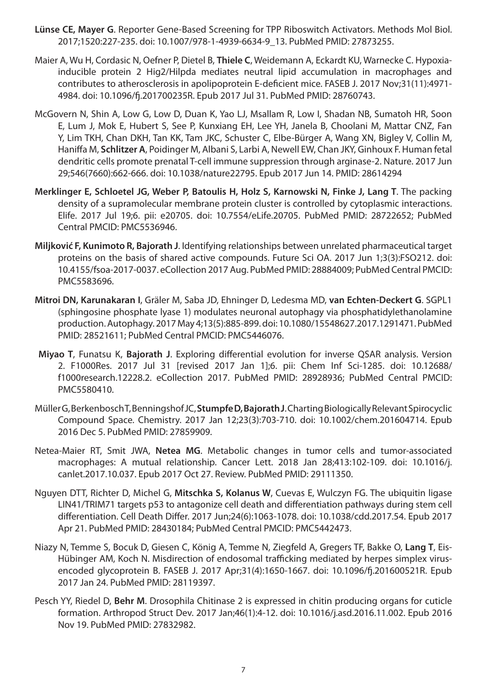- **Lünse CE, Mayer G**. Reporter Gene-Based Screening for TPP Riboswitch Activators. Methods Mol Biol. 2017;1520:227-235. doi: 10.1007/978-1-4939-6634-9\_13. PubMed PMID: 27873255.
- Maier A, Wu H, Cordasic N, Oefner P, Dietel B, **Thiele C**, Weidemann A, Eckardt KU, Warnecke C. Hypoxiainducible protein 2 Hig2/Hilpda mediates neutral lipid accumulation in macrophages and contributes to atherosclerosis in apolipoprotein E-deficient mice. FASEB J. 2017 Nov;31(11):4971- 4984. doi: 10.1096/fj.201700235R. Epub 2017 Jul 31. PubMed PMID: 28760743.
- McGovern N, Shin A, Low G, Low D, Duan K, Yao LJ, Msallam R, Low I, Shadan NB, Sumatoh HR, Soon E, Lum J, Mok E, Hubert S, See P, Kunxiang EH, Lee YH, Janela B, Choolani M, Mattar CNZ, Fan Y, Lim TKH, Chan DKH, Tan KK, Tam JKC, Schuster C, Elbe-Bürger A, Wang XN, Bigley V, Collin M, Haniffa M, **Schlitzer A**, Poidinger M, Albani S, Larbi A, Newell EW, Chan JKY, Ginhoux F. Human fetal dendritic cells promote prenatal T-cell immune suppression through arginase-2. Nature. 2017 Jun 29;546(7660):662-666. doi: 10.1038/nature22795. Epub 2017 Jun 14. PMID: 28614294
- **Merklinger E, Schloetel JG, Weber P, Batoulis H, Holz S, Karnowski N, Finke J, Lang T**. The packing density of a supramolecular membrane protein cluster is controlled by cytoplasmic interactions. Elife. 2017 Jul 19;6. pii: e20705. doi: 10.7554/eLife.20705. PubMed PMID: 28722652; PubMed Central PMCID: PMC5536946.
- **Miljković F, Kunimoto R, Bajorath J**. Identifying relationships between unrelated pharmaceutical target proteins on the basis of shared active compounds. Future Sci OA. 2017 Jun 1;3(3):FSO212. doi: 10.4155/fsoa-2017-0037. eCollection 2017 Aug. PubMed PMID: 28884009; PubMed Central PMCID: PMC5583696.
- **Mitroi DN, Karunakaran I**, Gräler M, Saba JD, Ehninger D, Ledesma MD, **van Echten-Deckert G**. SGPL1 (sphingosine phosphate lyase 1) modulates neuronal autophagy via phosphatidylethanolamine production. Autophagy. 2017 May 4;13(5):885-899. doi: 10.1080/15548627.2017.1291471. PubMed PMID: 28521611; PubMed Central PMCID: PMC5446076.
- **Miyao T**, Funatsu K, **Bajorath J**. Exploring differential evolution for inverse QSAR analysis. Version 2. F1000Res. 2017 Jul 31 [revised 2017 Jan 1];6. pii: Chem Inf Sci-1285. doi: 10.12688/ f1000research.12228.2. eCollection 2017. PubMed PMID: 28928936; PubMed Central PMCID: PMC5580410.
- Müller G, Berkenbosch T, Benningshof JC, **Stumpfe D, Bajorath J**. Charting Biologically Relevant Spirocyclic Compound Space. Chemistry. 2017 Jan 12;23(3):703-710. doi: 10.1002/chem.201604714. Epub 2016 Dec 5. PubMed PMID: 27859909.
- Netea-Maier RT, Smit JWA, **Netea MG**. Metabolic changes in tumor cells and tumor-associated macrophages: A mutual relationship. Cancer Lett. 2018 Jan 28;413:102-109. doi: 10.1016/j. canlet.2017.10.037. Epub 2017 Oct 27. Review. PubMed PMID: 29111350.
- Nguyen DTT, Richter D, Michel G, **Mitschka S, Kolanus W**, Cuevas E, Wulczyn FG. The ubiquitin ligase LIN41/TRIM71 targets p53 to antagonize cell death and differentiation pathways during stem cell differentiation. Cell Death Differ. 2017 Jun;24(6):1063-1078. doi: 10.1038/cdd.2017.54. Epub 2017 Apr 21. PubMed PMID: 28430184; PubMed Central PMCID: PMC5442473.
- Niazy N, Temme S, Bocuk D, Giesen C, König A, Temme N, Ziegfeld A, Gregers TF, Bakke O, **Lang T**, Eis-Hübinger AM, Koch N. Misdirection of endosomal trafficking mediated by herpes simplex virusencoded glycoprotein B. FASEB J. 2017 Apr;31(4):1650-1667. doi: 10.1096/fj.201600521R. Epub 2017 Jan 24. PubMed PMID: 28119397.
- Pesch YY, Riedel D, **Behr M**. Drosophila Chitinase 2 is expressed in chitin producing organs for cuticle formation. Arthropod Struct Dev. 2017 Jan;46(1):4-12. doi: 10.1016/j.asd.2016.11.002. Epub 2016 Nov 19. PubMed PMID: 27832982.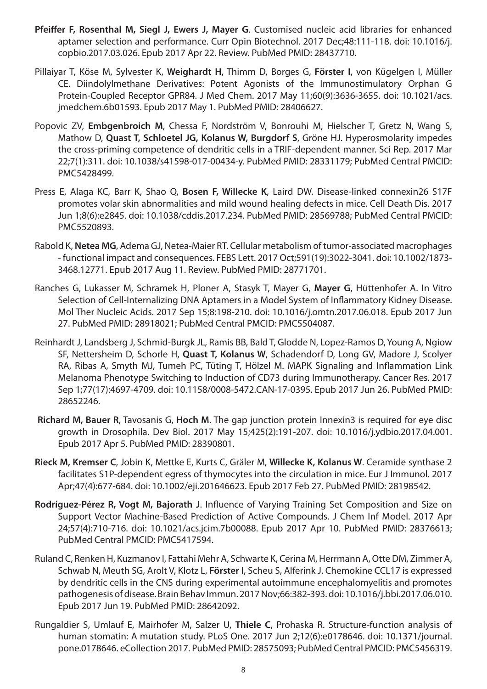- **Pfeiffer F, Rosenthal M, Siegl J, Ewers J, Mayer G**. Customised nucleic acid libraries for enhanced aptamer selection and performance. Curr Opin Biotechnol. 2017 Dec;48:111-118. doi: 10.1016/j. copbio.2017.03.026. Epub 2017 Apr 22. Review. PubMed PMID: 28437710.
- Pillaiyar T, Köse M, Sylvester K, **Weighardt H**, Thimm D, Borges G, **Förster I**, von Kügelgen I, Müller CE. Diindolylmethane Derivatives: Potent Agonists of the Immunostimulatory Orphan G Protein-Coupled Receptor GPR84. J Med Chem. 2017 May 11;60(9):3636-3655. doi: 10.1021/acs. jmedchem.6b01593. Epub 2017 May 1. PubMed PMID: 28406627.
- Popovic ZV, **Embgenbroich M**, Chessa F, Nordström V, Bonrouhi M, Hielscher T, Gretz N, Wang S, Mathow D, **Quast T, Schloetel JG, Kolanus W, Burgdorf S**, Gröne HJ. Hyperosmolarity impedes the cross-priming competence of dendritic cells in a TRIF-dependent manner. Sci Rep. 2017 Mar 22;7(1):311. doi: 10.1038/s41598-017-00434-y. PubMed PMID: 28331179; PubMed Central PMCID: PMC5428499.
- Press E, Alaga KC, Barr K, Shao Q, **Bosen F, Willecke K**, Laird DW. Disease-linked connexin26 S17F promotes volar skin abnormalities and mild wound healing defects in mice. Cell Death Dis. 2017 Jun 1;8(6):e2845. doi: 10.1038/cddis.2017.234. PubMed PMID: 28569788; PubMed Central PMCID: PMC5520893.
- Rabold K, **Netea MG**, Adema GJ, Netea-Maier RT. Cellular metabolism of tumor-associated macrophages - functional impact and consequences. FEBS Lett. 2017 Oct;591(19):3022-3041. doi: 10.1002/1873- 3468.12771. Epub 2017 Aug 11. Review. PubMed PMID: 28771701.
- Ranches G, Lukasser M, Schramek H, Ploner A, Stasyk T, Mayer G, **Mayer G**, Hüttenhofer A. In Vitro Selection of Cell-Internalizing DNA Aptamers in a Model System of Inflammatory Kidney Disease. Mol Ther Nucleic Acids. 2017 Sep 15;8:198-210. doi: 10.1016/j.omtn.2017.06.018. Epub 2017 Jun 27. PubMed PMID: 28918021; PubMed Central PMCID: PMC5504087.
- Reinhardt J, Landsberg J, Schmid-Burgk JL, Ramis BB, Bald T, Glodde N, Lopez-Ramos D, Young A, Ngiow SF, Nettersheim D, Schorle H, **Quast T, Kolanus W**, Schadendorf D, Long GV, Madore J, Scolyer RA, Ribas A, Smyth MJ, Tumeh PC, Tüting T, Hölzel M. MAPK Signaling and Inflammation Link Melanoma Phenotype Switching to Induction of CD73 during Immunotherapy. Cancer Res. 2017 Sep 1;77(17):4697-4709. doi: 10.1158/0008-5472.CAN-17-0395. Epub 2017 Jun 26. PubMed PMID: 28652246.
- **Richard M, Bauer R**, Tavosanis G, **Hoch M**. The gap junction protein Innexin3 is required for eye disc growth in Drosophila. Dev Biol. 2017 May 15;425(2):191-207. doi: 10.1016/j.ydbio.2017.04.001. Epub 2017 Apr 5. PubMed PMID: 28390801.
- **Rieck M, Kremser C**, Jobin K, Mettke E, Kurts C, Gräler M, **Willecke K, Kolanus W**. Ceramide synthase 2 facilitates S1P-dependent egress of thymocytes into the circulation in mice. Eur J Immunol. 2017 Apr;47(4):677-684. doi: 10.1002/eji.201646623. Epub 2017 Feb 27. PubMed PMID: 28198542.
- **Rodríguez-Pérez R, Vogt M, Bajorath J**. Influence of Varying Training Set Composition and Size on Support Vector Machine-Based Prediction of Active Compounds. J Chem Inf Model. 2017 Apr 24;57(4):710-716. doi: 10.1021/acs.jcim.7b00088. Epub 2017 Apr 10. PubMed PMID: 28376613; PubMed Central PMCID: PMC5417594.
- Ruland C, Renken H, Kuzmanov I, Fattahi Mehr A, Schwarte K, Cerina M, Herrmann A, Otte DM, Zimmer A, Schwab N, Meuth SG, Arolt V, Klotz L, **Förster I**, Scheu S, Alferink J. Chemokine CCL17 is expressed by dendritic cells in the CNS during experimental autoimmune encephalomyelitis and promotes pathogenesis of disease. Brain Behav Immun. 2017 Nov;66:382-393. doi: 10.1016/j.bbi.2017.06.010. Epub 2017 Jun 19. PubMed PMID: 28642092.
- Rungaldier S, Umlauf E, Mairhofer M, Salzer U, **Thiele C**, Prohaska R. Structure-function analysis of human stomatin: A mutation study. PLoS One. 2017 Jun 2;12(6):e0178646. doi: 10.1371/journal. pone.0178646. eCollection 2017. PubMed PMID: 28575093; PubMed Central PMCID: PMC5456319.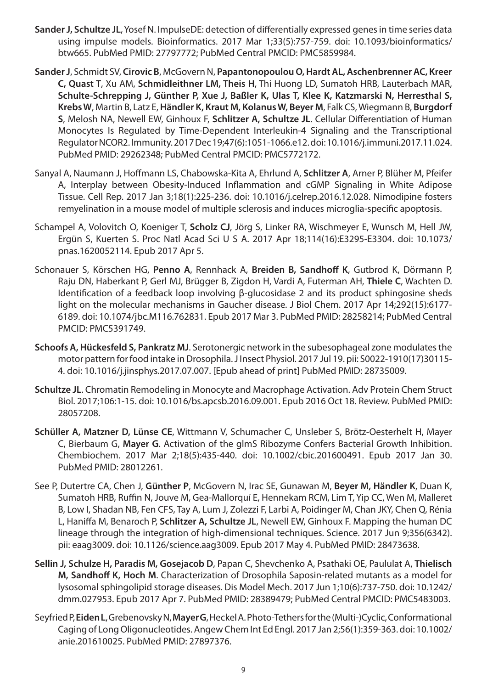- **Sander J, Schultze JL**, Yosef N. ImpulseDE: detection of differentially expressed genes in time series data using impulse models. Bioinformatics. 2017 Mar 1;33(5):757-759. doi: 10.1093/bioinformatics/ btw665. PubMed PMID: 27797772; PubMed Central PMCID: PMC5859984.
- **Sander J**, Schmidt SV, **Cirovic B**, McGovern N, **Papantonopoulou O, Hardt AL, Aschenbrenner AC, Kreer C, Quast T**, Xu AM, **Schmidleithner LM, Theis H**, Thi Huong LD, Sumatoh HRB, Lauterbach MAR, **Schulte-Schrepping J, Günther P, Xue J, Baßler K, Ulas T, Klee K, Katzmarski N, Herresthal S, Krebs W**, Martin B, Latz E, **Händler K, Kraut M, Kolanus W, Beyer M**, Falk CS, Wiegmann B, **Burgdorf S**, Melosh NA, Newell EW, Ginhoux F, **Schlitzer A, Schultze JL**. Cellular Differentiation of Human Monocytes Is Regulated by Time-Dependent Interleukin-4 Signaling and the Transcriptional Regulator NCOR2. Immunity. 2017 Dec 19;47(6):1051-1066.e12. doi: 10.1016/j.immuni.2017.11.024. PubMed PMID: 29262348; PubMed Central PMCID: PMC5772172.
- Sanyal A, Naumann J, Hoffmann LS, Chabowska-Kita A, Ehrlund A, **Schlitzer A**, Arner P, Blüher M, Pfeifer A, Interplay between Obesity-Induced Inflammation and cGMP Signaling in White Adipose Tissue. Cell Rep. 2017 Jan 3;18(1):225-236. doi: 10.1016/j.celrep.2016.12.028. Nimodipine fosters remyelination in a mouse model of multiple sclerosis and induces microglia-specific apoptosis.
- Schampel A, Volovitch O, Koeniger T, **Scholz CJ**, Jörg S, Linker RA, Wischmeyer E, Wunsch M, Hell JW, Ergün S, Kuerten S. Proc Natl Acad Sci U S A. 2017 Apr 18;114(16):E3295-E3304. doi: 10.1073/ pnas.1620052114. Epub 2017 Apr 5.
- Schonauer S, Körschen HG, **Penno A**, Rennhack A, **Breiden B, Sandhoff K**, Gutbrod K, Dörmann P, Raju DN, Haberkant P, Gerl MJ, Brügger B, Zigdon H, Vardi A, Futerman AH, **Thiele C**, Wachten D. Identification of a feedback loop involving β-glucosidase 2 and its product sphingosine sheds light on the molecular mechanisms in Gaucher disease. J Biol Chem. 2017 Apr 14;292(15):6177- 6189. doi: 10.1074/jbc.M116.762831. Epub 2017 Mar 3. PubMed PMID: 28258214; PubMed Central PMCID: PMC5391749.
- **Schoofs A, Hückesfeld S, Pankratz MJ**. Serotonergic network in the subesophageal zone modulates the motor pattern for food intake in Drosophila. J Insect Physiol. 2017 Jul 19. pii: S0022-1910(17)30115- 4. doi: 10.1016/j.jinsphys.2017.07.007. [Epub ahead of print] PubMed PMID: 28735009.
- **Schultze JL**. Chromatin Remodeling in Monocyte and Macrophage Activation. Adv Protein Chem Struct Biol. 2017;106:1-15. doi: 10.1016/bs.apcsb.2016.09.001. Epub 2016 Oct 18. Review. PubMed PMID: 28057208.
- **Schüller A, Matzner D, Lünse CE**, Wittmann V, Schumacher C, Unsleber S, Brötz-Oesterhelt H, Mayer C, Bierbaum G, **Mayer G**. Activation of the glmS Ribozyme Confers Bacterial Growth Inhibition. Chembiochem. 2017 Mar 2;18(5):435-440. doi: 10.1002/cbic.201600491. Epub 2017 Jan 30. PubMed PMID: 28012261.
- See P, Dutertre CA, Chen J, **Günther P**, McGovern N, Irac SE, Gunawan M, **Beyer M, Händler K**, Duan K, Sumatoh HRB, Ruffin N, Jouve M, Gea-Mallorquí E, Hennekam RCM, Lim T, Yip CC, Wen M, Malleret B, Low I, Shadan NB, Fen CFS, Tay A, Lum J, Zolezzi F, Larbi A, Poidinger M, Chan JKY, Chen Q, Rénia L, Haniffa M, Benaroch P, **Schlitzer A, Schultze JL**, Newell EW, Ginhoux F. Mapping the human DC lineage through the integration of high-dimensional techniques. Science. 2017 Jun 9;356(6342). pii: eaag3009. doi: 10.1126/science.aag3009. Epub 2017 May 4. PubMed PMID: 28473638.
- **Sellin J, Schulze H, Paradis M, Gosejacob D**, Papan C, Shevchenko A, Psathaki OE, Paululat A, **Thielisch M, Sandhoff K, Hoch M**. Characterization of Drosophila Saposin-related mutants as a model for lysosomal sphingolipid storage diseases. Dis Model Mech. 2017 Jun 1;10(6):737-750. doi: 10.1242/ dmm.027953. Epub 2017 Apr 7. PubMed PMID: 28389479; PubMed Central PMCID: PMC5483003.
- Seyfried P, **Eiden L**, Grebenovsky N, **Mayer G**, Heckel A. Photo-Tethers for the (Multi-)Cyclic, Conformational Caging of Long Oligonucleotides. Angew Chem Int Ed Engl. 2017 Jan 2;56(1):359-363. doi: 10.1002/ anie.201610025. PubMed PMID: 27897376.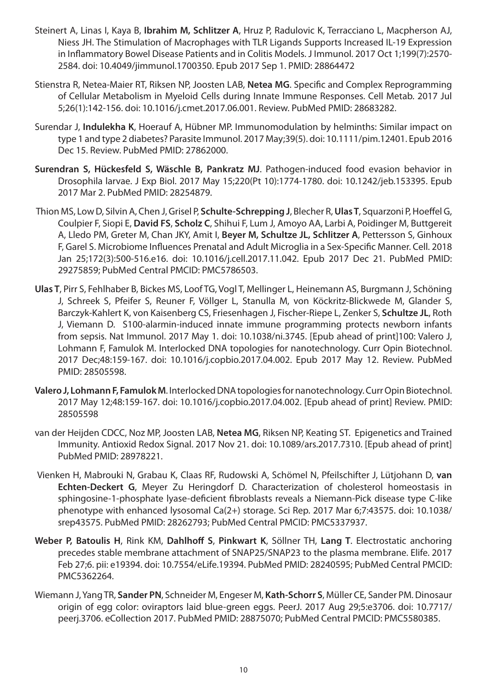- Steinert A, Linas I, Kaya B, **Ibrahim M, Schlitzer A**, Hruz P, Radulovic K, Terracciano L, Macpherson AJ, Niess JH. The Stimulation of Macrophages with TLR Ligands Supports Increased IL-19 Expression in Inflammatory Bowel Disease Patients and in Colitis Models. J Immunol. 2017 Oct 1;199(7):2570- 2584. doi: 10.4049/jimmunol.1700350. Epub 2017 Sep 1. PMID: 28864472
- Stienstra R, Netea-Maier RT, Riksen NP, Joosten LAB, **Netea MG**. Specific and Complex Reprogramming of Cellular Metabolism in Myeloid Cells during Innate Immune Responses. Cell Metab. 2017 Jul 5;26(1):142-156. doi: 10.1016/j.cmet.2017.06.001. Review. PubMed PMID: 28683282.
- Surendar J, **Indulekha K**, Hoerauf A, Hübner MP. Immunomodulation by helminths: Similar impact on type 1 and type 2 diabetes? Parasite Immunol. 2017 May;39(5). doi: 10.1111/pim.12401. Epub 2016 Dec 15. Review. PubMed PMID: 27862000.
- **Surendran S, Hückesfeld S, Wäschle B, Pankratz MJ**. Pathogen-induced food evasion behavior in Drosophila larvae. J Exp Biol. 2017 May 15;220(Pt 10):1774-1780. doi: 10.1242/jeb.153395. Epub 2017 Mar 2. PubMed PMID: 28254879.
- Thion MS, Low D, Silvin A, Chen J, Grisel P, **Schulte-Schrepping J**, Blecher R, **Ulas T**, Squarzoni P, Hoeffel G, Coulpier F, Siopi E, **David FS**, **Scholz C**, Shihui F, Lum J, Amoyo AA, Larbi A, Poidinger M, Buttgereit A, Lledo PM, Greter M, Chan JKY, Amit I, **Beyer M, Schultze JL, Schlitzer A**, Pettersson S, Ginhoux F, Garel S. Microbiome Influences Prenatal and Adult Microglia in a Sex-Specific Manner. Cell. 2018 Jan 25;172(3):500-516.e16. doi: 10.1016/j.cell.2017.11.042. Epub 2017 Dec 21. PubMed PMID: 29275859; PubMed Central PMCID: PMC5786503.
- **Ulas T**, Pirr S, Fehlhaber B, Bickes MS, Loof TG, Vogl T, Mellinger L, Heinemann AS, Burgmann J, Schöning J, Schreek S, Pfeifer S, Reuner F, Völlger L, Stanulla M, von Köckritz-Blickwede M, Glander S, Barczyk-Kahlert K, von Kaisenberg CS, Friesenhagen J, Fischer-Riepe L, Zenker S, **Schultze JL**, Roth J, Viemann D. S100-alarmin-induced innate immune programming protects newborn infants from sepsis. Nat Immunol. 2017 May 1. doi: 10.1038/ni.3745. [Epub ahead of print]100: Valero J, Lohmann F, Famulok M. Interlocked DNA topologies for nanotechnology. Curr Opin Biotechnol. 2017 Dec;48:159-167. doi: 10.1016/j.copbio.2017.04.002. Epub 2017 May 12. Review. PubMed PMID: 28505598.
- **Valero J, Lohmann F, Famulok M**. Interlocked DNA topologies for nanotechnology. Curr Opin Biotechnol. 2017 May 12;48:159-167. doi: 10.1016/j.copbio.2017.04.002. [Epub ahead of print] Review. PMID: 28505598
- van der Heijden CDCC, Noz MP, Joosten LAB, **Netea MG**, Riksen NP, Keating ST. Epigenetics and Trained Immunity. Antioxid Redox Signal. 2017 Nov 21. doi: 10.1089/ars.2017.7310. [Epub ahead of print] PubMed PMID: 28978221.
- Vienken H, Mabrouki N, Grabau K, Claas RF, Rudowski A, Schömel N, Pfeilschifter J, Lütjohann D, **van Echten-Deckert G**, Meyer Zu Heringdorf D. Characterization of cholesterol homeostasis in sphingosine-1-phosphate lyase-deficient fibroblasts reveals a Niemann-Pick disease type C-like phenotype with enhanced lysosomal Ca(2+) storage. Sci Rep. 2017 Mar 6;7:43575. doi: 10.1038/ srep43575. PubMed PMID: 28262793; PubMed Central PMCID: PMC5337937.
- **Weber P, Batoulis H**, Rink KM, **Dahlhoff S**, **Pinkwart K**, Söllner TH, **Lang T**. Electrostatic anchoring precedes stable membrane attachment of SNAP25/SNAP23 to the plasma membrane. Elife. 2017 Feb 27;6. pii: e19394. doi: 10.7554/eLife.19394. PubMed PMID: 28240595; PubMed Central PMCID: PMC5362264.
- Wiemann J, Yang TR, **Sander PN**, Schneider M, Engeser M, **Kath-Schorr S**, Müller CE, Sander PM. Dinosaur origin of egg color: oviraptors laid blue-green eggs. PeerJ. 2017 Aug 29;5:e3706. doi: 10.7717/ peerj.3706. eCollection 2017. PubMed PMID: 28875070; PubMed Central PMCID: PMC5580385.